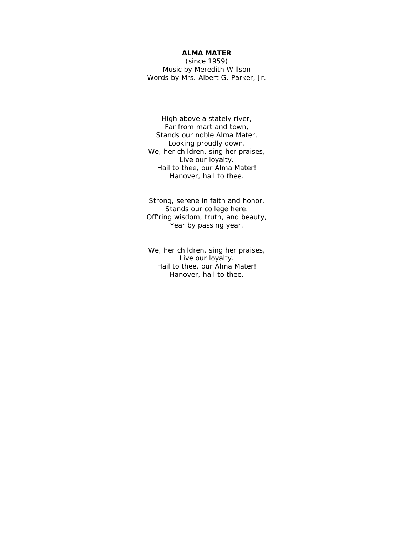## **ALMA MATER**

(since 1959) *Music by Meredith Willson Words by Mrs. Albert G. Parker, Jr.*

High above a stately river, Far from mart and town, Stands our noble Alma Mater, Looking proudly down. We, her children, sing her praises, Live our loyalty. Hail to thee, our Alma Mater! Hanover, hail to thee.

Strong, serene in faith and honor, Stands our college here. Off'ring wisdom, truth, and beauty, Year by passing year.

We, her children, sing her praises, Live our loyalty. Hail to thee, our Alma Mater! Hanover, hail to thee.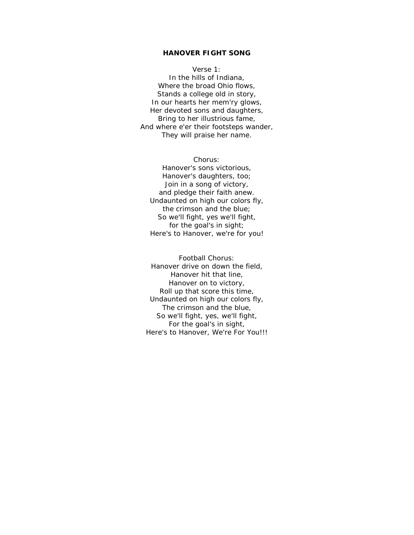## **HANOVER FIGHT SONG**

*Verse 1:* In the hills of Indiana, Where the broad Ohio flows, Stands a college old in story, In our hearts her mem'ry glows, Her devoted sons and daughters, Bring to her illustrious fame, And where e'er their footsteps wander, They will praise her name.

*Chorus:* Hanover's sons victorious, Hanover's daughters, too; Join in a song of victory, and pledge their faith anew. Undaunted on high our colors fly,

the crimson and the blue; So we'll fight, yes we'll fight, for the goal's in sight; Here's to Hanover, we're for you!

*Football Chorus:* Hanover drive on down the field, Hanover hit that line, Hanover on to victory, Roll up that score this time, Undaunted on high our colors fly, The crimson and the blue, So we'll fight, yes, we'll fight, For the goal's in sight, Here's to Hanover, We're For You!!!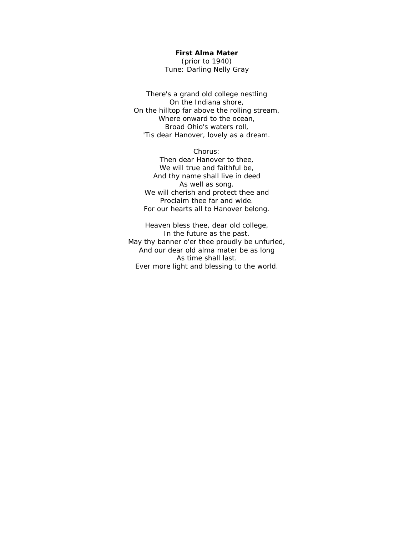## **First Alma Mater**

(prior to 1940) *Tune: Darling Nelly Gray*

There's a grand old college nestling On the Indiana shore, On the hilltop far above the rolling stream, Where onward to the ocean, Broad Ohio's waters roll, 'Tis dear Hanover, lovely as a dream.

Chorus: Then dear Hanover to thee, We will true and faithful be, And thy name shall live in deed As well as song. We will cherish and protect thee and Proclaim thee far and wide. For our hearts all to Hanover belong.

Heaven bless thee, dear old college, In the future as the past. May thy banner o'er thee proudly be unfurled, And our dear old alma mater be as long As time shall last. Ever more light and blessing to the world.